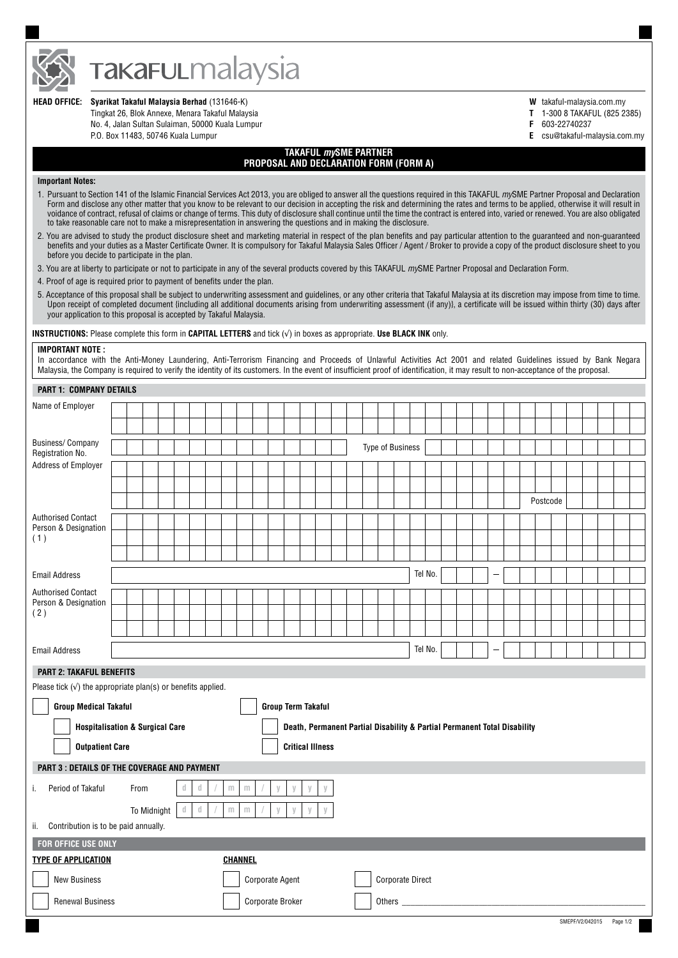

# **такағu**lmalaysia

#### **Syarikat Takaful Malaysia Berhad** (131646-K) **HEAD OFFICE:**

Tingkat 26, Blok Annexe, Menara Takaful Malaysia No. 4, Jalan Sultan Sulaiman, 50000 Kuala Lumpur

P.O. Box 11483, 50746 Kuala Lumpur

**W** takaful-malaysia.com.my

**T** 1-300 8 TAKAFUL (825 2385)

**F** 603-22740237

**E** csu@takaful-malaysia.com.my

# **TAKAFUL** *my***SME PARTNER PROPOSAL AND DECLARATION FORM (FORM A)**

# **Important Notes:**

- 1. Pursuant to Section 141 of the Islamic Financial Services Act 2013, you are obliged to answer all the questions required in this TAKAFUL *my*SME Partner Proposal and Declaration Form and disclose any other matter that you know to be relevant to our decision in accepting the risk and determining the rates and terms to be applied, otherwise it will result in voidance of contract, refusal of claims or change of terms. This duty of disclosure shall continue until the time the contract is entered into, varied or renewed. You are also obligated to take reasonable care not to make a misrepresentation in answering the questions and in making the disclosure.
- 2. You are advised to study the product disclosure sheet and marketing material in respect of the plan benefits and pay particular attention to the guaranteed and non-guaranteed benefits and your duties as a Master Certificate Owner. It is compulsory for Takaful Malaysia Sales Officer / Agent / Broker to provide a copy of the product disclosure sheet to you before you decide to participate in the plan.
- 3. You are at liberty to participate or not to participate in any of the several products covered by this TAKAFUL *my*SME Partner Proposal and Declaration Form.
- 4. Proof of age is required prior to payment of benefits under the plan.
- 5. Acceptance of this proposal shall be subject to underwriting assessment and guidelines, or any other criteria that Takaful Malaysia at its discretion may impose from time to time. Upon receipt of completed document {including all additional documents arising from underwriting assessment (if any)}, a certificate will be issued within thirty (30) days after your application to this proposal is accepted by Takaful Malaysia.

**INSTRUCTIONS:** Please complete this form in **CAPITAL LETTERS** and tick (√) in boxes as appropriate. **Use BLACK INK** only.

# **IMPORTANT NOTE :**

In accordance with the Anti-Money Laundering, Anti-Terrorism Financing and Proceeds of Unlawful Activities Act 2001 and related Guidelines issued by Bank Negara Malaysia, the Company is required to verify the identity of its customers. In the event of insufficient proof of identification, it may result to non-acceptance of the proposal.

# **PART 1: COMPANY DETAILS**

| Name of Employer                                                          |                                 |  |  |  |  |  |                         |                |  |                 |  |                           |  |  |                                                                          |                  |                         |  |  |         |  |  |  |                          |  |  |          |  |                 |          |  |
|---------------------------------------------------------------------------|---------------------------------|--|--|--|--|--|-------------------------|----------------|--|-----------------|--|---------------------------|--|--|--------------------------------------------------------------------------|------------------|-------------------------|--|--|---------|--|--|--|--------------------------|--|--|----------|--|-----------------|----------|--|
|                                                                           |                                 |  |  |  |  |  |                         |                |  |                 |  |                           |  |  |                                                                          |                  |                         |  |  |         |  |  |  |                          |  |  |          |  |                 |          |  |
| <b>Business/Company</b><br>Registration No.                               |                                 |  |  |  |  |  |                         |                |  |                 |  |                           |  |  |                                                                          | Type of Business |                         |  |  |         |  |  |  |                          |  |  |          |  |                 |          |  |
| Address of Employer                                                       |                                 |  |  |  |  |  |                         |                |  |                 |  |                           |  |  |                                                                          |                  |                         |  |  |         |  |  |  |                          |  |  |          |  |                 |          |  |
|                                                                           |                                 |  |  |  |  |  |                         |                |  |                 |  |                           |  |  |                                                                          |                  |                         |  |  |         |  |  |  |                          |  |  |          |  |                 |          |  |
|                                                                           |                                 |  |  |  |  |  |                         |                |  |                 |  |                           |  |  |                                                                          |                  |                         |  |  |         |  |  |  |                          |  |  | Postcode |  |                 |          |  |
| <b>Authorised Contact</b>                                                 |                                 |  |  |  |  |  |                         |                |  |                 |  |                           |  |  |                                                                          |                  |                         |  |  |         |  |  |  |                          |  |  |          |  |                 |          |  |
| Person & Designation<br>(1)                                               |                                 |  |  |  |  |  |                         |                |  |                 |  |                           |  |  |                                                                          |                  |                         |  |  |         |  |  |  |                          |  |  |          |  |                 |          |  |
|                                                                           |                                 |  |  |  |  |  |                         |                |  |                 |  |                           |  |  |                                                                          |                  |                         |  |  |         |  |  |  |                          |  |  |          |  |                 |          |  |
| <b>Email Address</b>                                                      | Tel No.                         |  |  |  |  |  |                         |                |  |                 |  |                           |  |  |                                                                          |                  |                         |  |  |         |  |  |  |                          |  |  |          |  |                 |          |  |
| <b>Authorised Contact</b>                                                 |                                 |  |  |  |  |  |                         |                |  |                 |  |                           |  |  |                                                                          |                  |                         |  |  |         |  |  |  |                          |  |  |          |  |                 |          |  |
| Person & Designation<br>(2)                                               |                                 |  |  |  |  |  |                         |                |  |                 |  |                           |  |  |                                                                          |                  |                         |  |  |         |  |  |  |                          |  |  |          |  |                 |          |  |
|                                                                           |                                 |  |  |  |  |  |                         |                |  |                 |  |                           |  |  |                                                                          |                  |                         |  |  |         |  |  |  |                          |  |  |          |  |                 |          |  |
| <b>Email Address</b>                                                      |                                 |  |  |  |  |  |                         |                |  |                 |  |                           |  |  |                                                                          |                  |                         |  |  | Tel No. |  |  |  | $\overline{\phantom{0}}$ |  |  |          |  |                 |          |  |
|                                                                           | <b>PART 2: TAKAFUL BENEFITS</b> |  |  |  |  |  |                         |                |  |                 |  |                           |  |  |                                                                          |                  |                         |  |  |         |  |  |  |                          |  |  |          |  |                 |          |  |
| Please tick $(v)$ the appropriate plan(s) or benefits applied.            |                                 |  |  |  |  |  |                         |                |  |                 |  |                           |  |  |                                                                          |                  |                         |  |  |         |  |  |  |                          |  |  |          |  |                 |          |  |
| <b>Group Medical Takaful</b>                                              |                                 |  |  |  |  |  |                         |                |  |                 |  | <b>Group Term Takaful</b> |  |  |                                                                          |                  |                         |  |  |         |  |  |  |                          |  |  |          |  |                 |          |  |
| <b>Hospitalisation &amp; Surgical Care</b>                                |                                 |  |  |  |  |  |                         |                |  |                 |  |                           |  |  | Death, Permanent Partial Disability & Partial Permanent Total Disability |                  |                         |  |  |         |  |  |  |                          |  |  |          |  |                 |          |  |
| <b>Outpatient Care</b>                                                    |                                 |  |  |  |  |  | <b>Critical Illness</b> |                |  |                 |  |                           |  |  |                                                                          |                  |                         |  |  |         |  |  |  |                          |  |  |          |  |                 |          |  |
| PART 3 : DETAILS OF THE COVERAGE AND PAYMENT                              |                                 |  |  |  |  |  |                         |                |  |                 |  |                           |  |  |                                                                          |                  |                         |  |  |         |  |  |  |                          |  |  |          |  |                 |          |  |
| d<br>$\rm{m}$<br>Period of Takaful<br>From<br>d<br>$\mathsf{m}$<br>i.     |                                 |  |  |  |  |  |                         |                |  |                 |  |                           |  |  |                                                                          |                  |                         |  |  |         |  |  |  |                          |  |  |          |  |                 |          |  |
| d<br>d<br>To Midnight<br>$\mathsf{m}$<br>$\mathsf{m}$<br>$\vee$<br>V<br>V |                                 |  |  |  |  |  |                         |                |  |                 |  |                           |  |  |                                                                          |                  |                         |  |  |         |  |  |  |                          |  |  |          |  |                 |          |  |
| Contribution is to be paid annually.<br>ii.                               |                                 |  |  |  |  |  |                         |                |  |                 |  |                           |  |  |                                                                          |                  |                         |  |  |         |  |  |  |                          |  |  |          |  |                 |          |  |
| FOR OFFICE USE ONLY                                                       |                                 |  |  |  |  |  |                         |                |  |                 |  |                           |  |  |                                                                          |                  |                         |  |  |         |  |  |  |                          |  |  |          |  |                 |          |  |
| <b>TYPE OF APPLICATION</b>                                                |                                 |  |  |  |  |  |                         | <b>CHANNEL</b> |  |                 |  |                           |  |  |                                                                          |                  |                         |  |  |         |  |  |  |                          |  |  |          |  |                 |          |  |
| <b>New Business</b>                                                       |                                 |  |  |  |  |  |                         |                |  | Corporate Agent |  |                           |  |  |                                                                          |                  | <b>Corporate Direct</b> |  |  |         |  |  |  |                          |  |  |          |  |                 |          |  |
| Corporate Broker<br><b>Renewal Business</b>                               |                                 |  |  |  |  |  |                         | Others __      |  |                 |  |                           |  |  |                                                                          |                  |                         |  |  |         |  |  |  |                          |  |  |          |  |                 |          |  |
|                                                                           |                                 |  |  |  |  |  |                         |                |  |                 |  |                           |  |  |                                                                          |                  |                         |  |  |         |  |  |  |                          |  |  |          |  | SMEPF/V2/042015 | Page 1/2 |  |